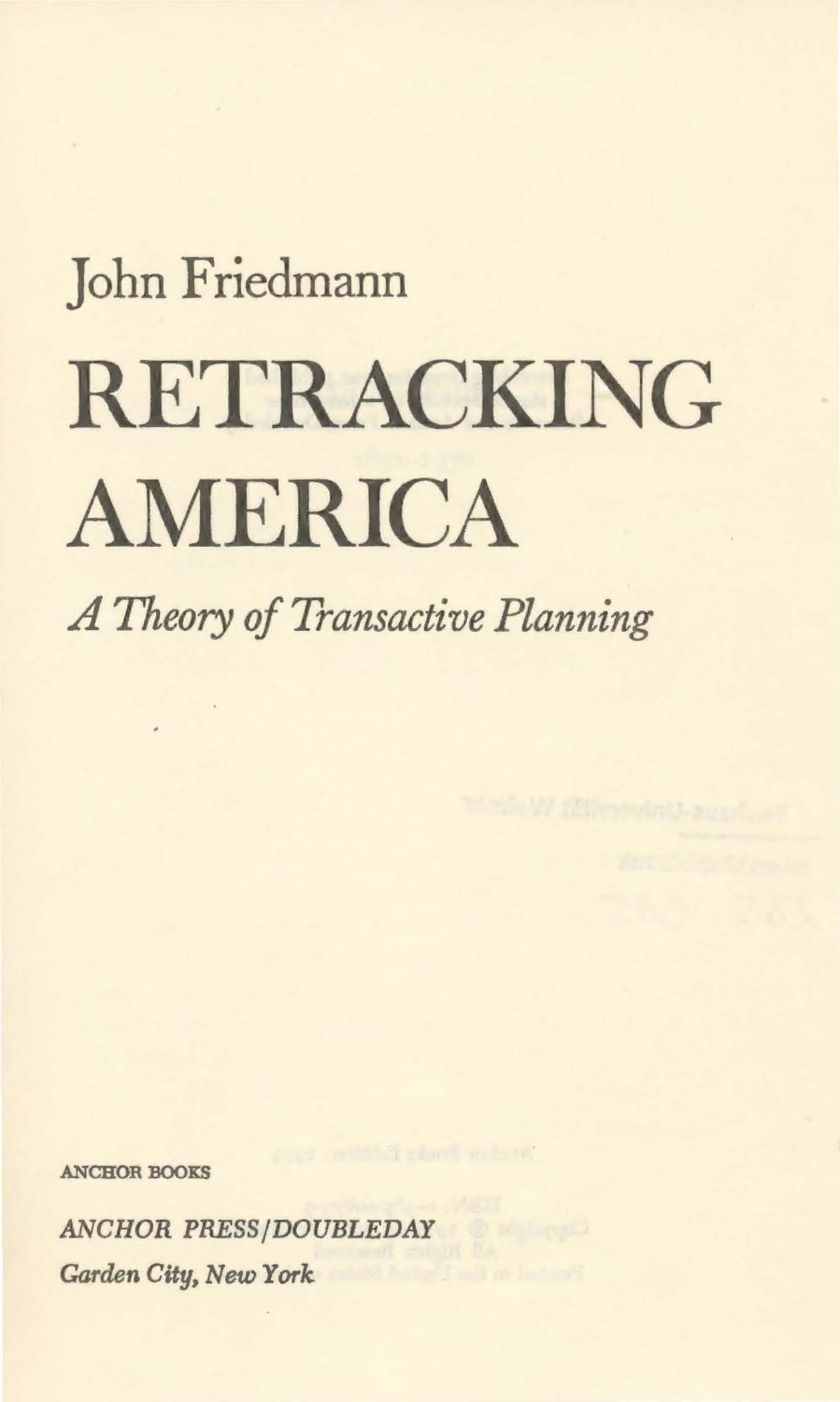## John Friedmann RETRACKING AMERICA

*A Theory of Transactive Planning* 

ANCBOR BOOKS

*ANCHOR PRESS/DOUBLEDAY Garden* City, New *York*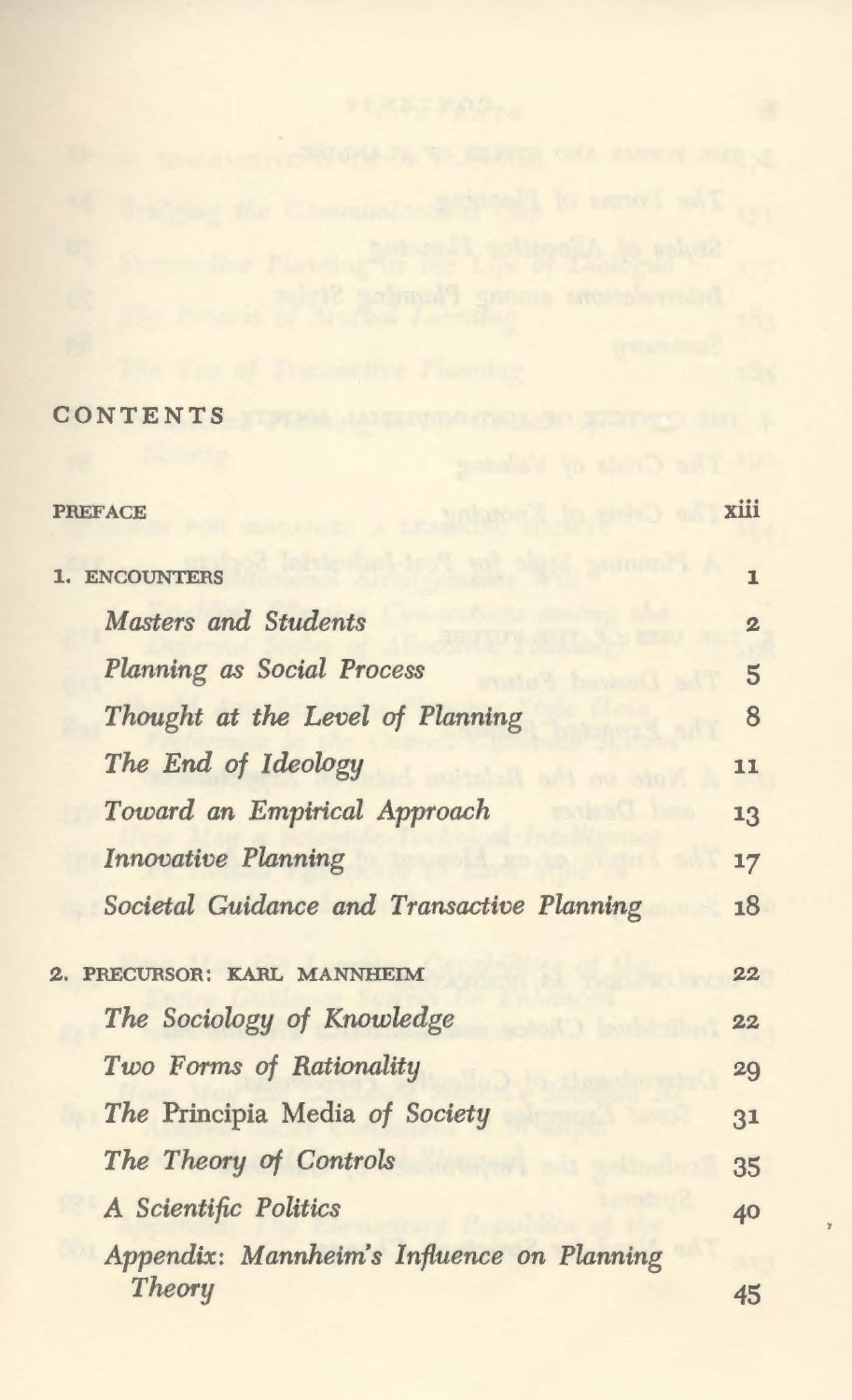## CONTENTS OF THE CONTENTS

| <b>PREFACE</b>                                          | xiii           |
|---------------------------------------------------------|----------------|
|                                                         |                |
| <b>ENCOUNTERS</b><br>ı.                                 | $\mathbf{I}$   |
| Masters and Students                                    | $\mathbf{2}$   |
| <b>Planning as Social Process</b>                       | $\overline{5}$ |
| Thought at the Level of Planning                        | 8              |
| The End of Ideology                                     | 11             |
| Toward an Empirical Approach<br><b>MOTOR CONTRACTOR</b> | 13             |
| Innovative Planning                                     | 17             |
| Societal Guidance and Transactive Planning              | 18             |
| PRECURSOR: KARL MANNHEIM                                | 22             |
| The Sociology of Knowledge                              | 22             |
| Two Forms of Rationality                                | 29             |
| The Principia Media of Society                          | 31             |
| The Theory of Controls                                  | 35             |
| A Scientific Politics                                   | 40             |
| Appendix: Mannheim's Influence on Planning<br>Theory    | 45             |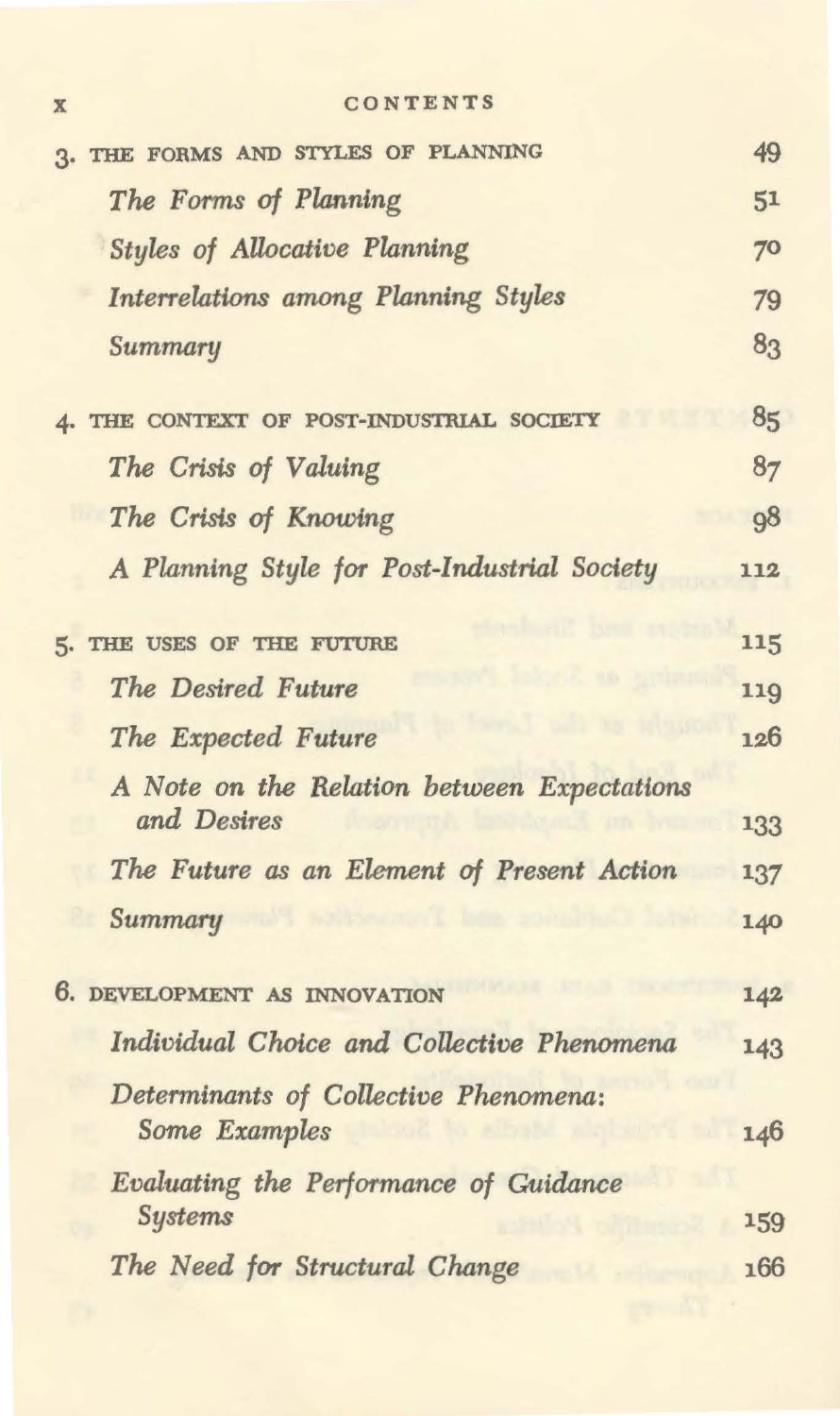| X | CONTENTS |  |  |  |  |  |
|---|----------|--|--|--|--|--|
|---|----------|--|--|--|--|--|

| 3. THE FORMS AND STYLES OF PLANNING          | 49  |
|----------------------------------------------|-----|
| The Forms of Planning                        | 51  |
| <b>Styles of Allocative Planning</b>         | 70  |
| <b>Interrelations among Planning Styles</b>  | 79  |
| Summary                                      | 83  |
|                                              |     |
| 4. THE CONTEXT OF POST-INDUSTRIAL SOCIETY    | 85  |
| The Crisis of Valuing                        | 87  |
| The Crisis of Knowing                        | 98  |
| A Planning Style for Post-Industrial Society | 112 |
|                                              |     |
| 5. THE USES OF THE FUTURE                    | 115 |
| The Desired Future                           | 119 |
| The Expected Future                          | 126 |
| A Note on the Relation between Expectations  |     |
| and Desires                                  | 133 |
| The Future as an Element of Present Action   | 137 |
| Summary                                      | 140 |
|                                              |     |
| 6. DEVELOPMENT AS INNOVATION                 | 142 |
| Individual Choice and Collective Phenomena   | 143 |
| Determinants of Collective Phenomena:        |     |
| Some Examples                                | 146 |
| Evaluating the Performance of Guidance       |     |
| <b>Systems</b>                               | 159 |
| The Need for Structural Change               | 166 |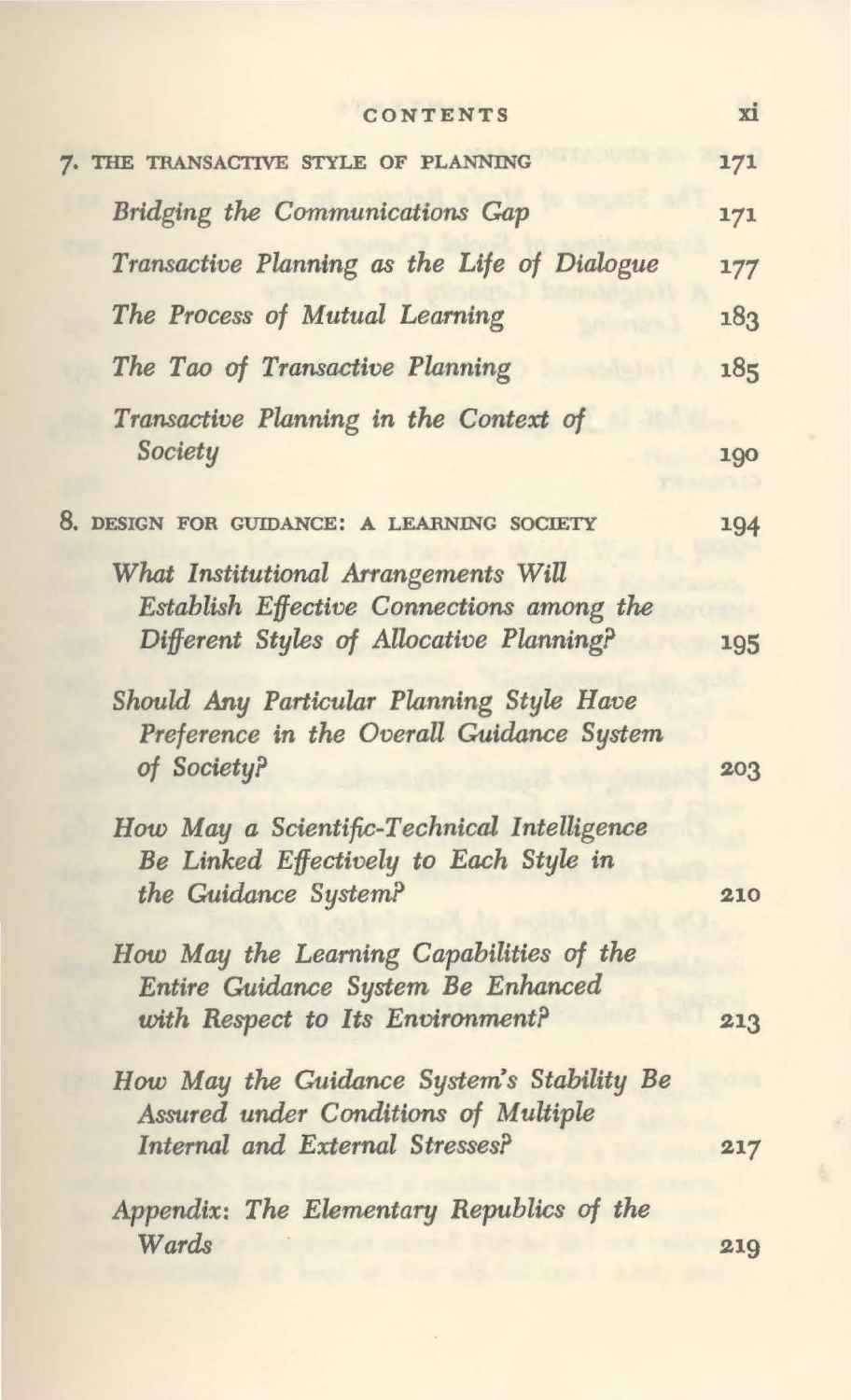| CONTENTS                                                                                                                      | xi  |
|-------------------------------------------------------------------------------------------------------------------------------|-----|
| 7. THE TRANSACTIVE STYLE OF PLANNING                                                                                          | 171 |
| Bridging the Communications Gap                                                                                               | 171 |
| Transactive Planning as the Life of Dialogue                                                                                  | 177 |
| The Process of Mutual Learning                                                                                                | 183 |
| The Tao of Transactive Planning                                                                                               | 185 |
| Transactive Planning in the Context of<br>Society                                                                             | 190 |
| 8. DESIGN FOR GUIDANCE: A LEARNING SOCIETY                                                                                    | 194 |
| What Institutional Arrangements Will<br>Establish Effective Connections among the<br>Different Styles of Allocative Planning? | 195 |
| Should Any Particular Planning Style Have<br>Preference in the Overall Guidance System<br>of Society?                         | 203 |
| How May a Scientific-Technical Intelligence<br>Be Linked Effectively to Each Style in<br>the Guidance System?                 | 210 |
| How May the Learning Capabilities of the<br>Entire Guidance System Be Enhanced<br>with Respect to Its Environment?            | 213 |
| How May the Guidance System's Stability Be<br>Assured under Conditions of Multiple<br>Internal and External Stresses?         | 217 |
| Appendix: The Elementary Republics of the<br>Wards                                                                            | 219 |